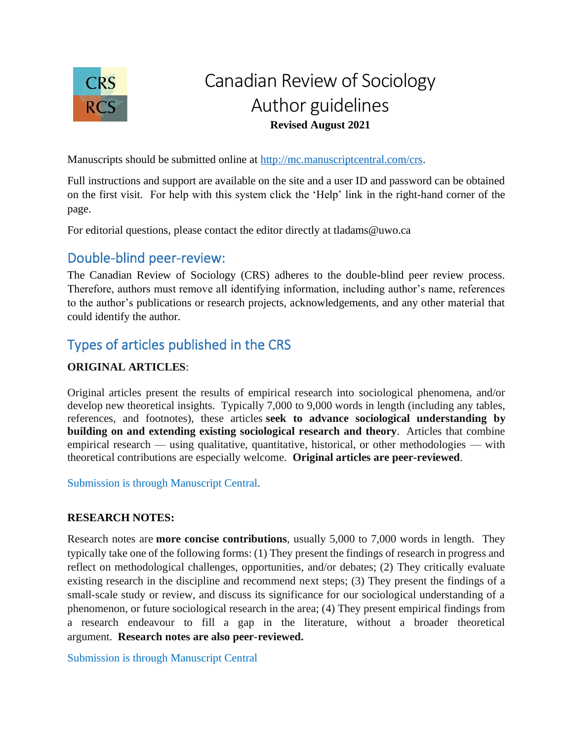

# Canadian Review of Sociology Author guidelines **Revised August 2021**

Manuscripts should be submitted online at [http://mc.manuscriptcentral.com/crs.](about:blank)

Full instructions and support are available on the site and a user ID and password can be obtained on the first visit. For help with this system click the 'Help' link in the right-hand corner of the page.

For editorial questions, please contact the editor directly at tladams@uwo.ca

## Double-blind peer-review:

The Canadian Review of Sociology (CRS) adheres to the double-blind peer review process. Therefore, authors must remove all identifying information, including author's name, references to the author's publications or research projects, acknowledgements, and any other material that could identify the author.

## Types of articles published in the CRS

#### **ORIGINAL ARTICLES**:

Original articles present the results of empirical research into sociological phenomena, and/or develop new theoretical insights. Typically 7,000 to 9,000 words in length (including any tables, references, and footnotes), these articles **seek to advance sociological understanding by building on and extending existing sociological research and theory**. Articles that combine empirical research — using qualitative, quantitative, historical, or other methodologies — with theoretical contributions are especially welcome. **Original articles are peer-reviewed**.

Submission is through Manuscript Central.

#### **RESEARCH NOTES:**

Research notes are **more concise contributions**, usually 5,000 to 7,000 words in length. They typically take one of the following forms: (1) They present the findings of research in progress and reflect on methodological challenges, opportunities, and/or debates; (2) They critically evaluate existing research in the discipline and recommend next steps; (3) They present the findings of a small-scale study or review, and discuss its significance for our sociological understanding of a phenomenon, or future sociological research in the area; (4) They present empirical findings from a research endeavour to fill a gap in the literature, without a broader theoretical argument. **Research notes are also peer-reviewed.**

Submission is through Manuscript Central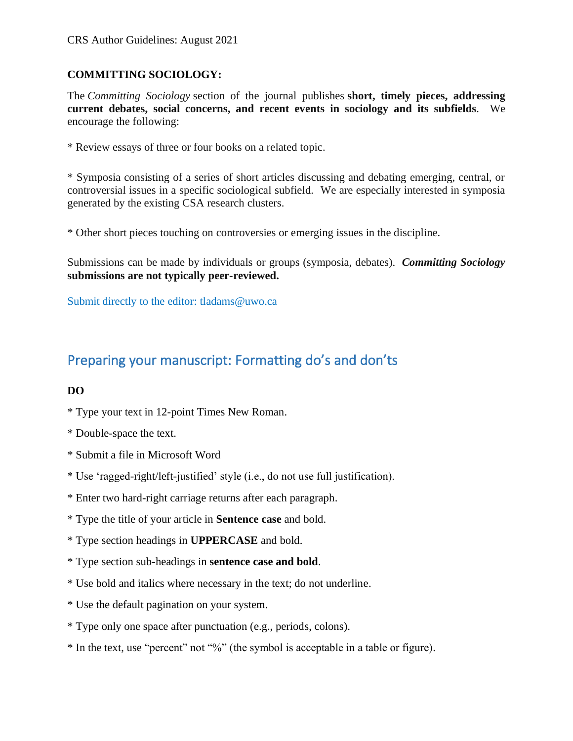### **COMMITTING SOCIOLOGY:**

The *Committing Sociology* section of the journal publishes **short, timely pieces, addressing current debates, social concerns, and recent events in sociology and its subfields**. We encourage the following:

\* Review essays of three or four books on a related topic.

\* Symposia consisting of a series of short articles discussing and debating emerging, central, or controversial issues in a specific sociological subfield. We are especially interested in symposia generated by the existing CSA research clusters.

\* Other short pieces touching on controversies or emerging issues in the discipline.

Submissions can be made by individuals or groups (symposia, debates). *Committing Sociology* **submissions are not typically peer-reviewed.**

Submit directly to the editor: tladams@uwo.ca

## Preparing your manuscript: Formatting do's and don'ts

#### **DO**

- \* Type your text in 12-point Times New Roman.
- \* Double-space the text.
- \* Submit a file in Microsoft Word
- \* Use 'ragged-right/left-justified' style (i.e., do not use full justification).
- \* Enter two hard-right carriage returns after each paragraph.
- \* Type the title of your article in **Sentence case** and bold.
- \* Type section headings in **UPPERCASE** and bold.
- \* Type section sub-headings in **sentence case and bold**.
- \* Use bold and italics where necessary in the text; do not underline.
- \* Use the default pagination on your system.
- \* Type only one space after punctuation (e.g., periods, colons).
- \* In the text, use "percent" not "%" (the symbol is acceptable in a table or figure).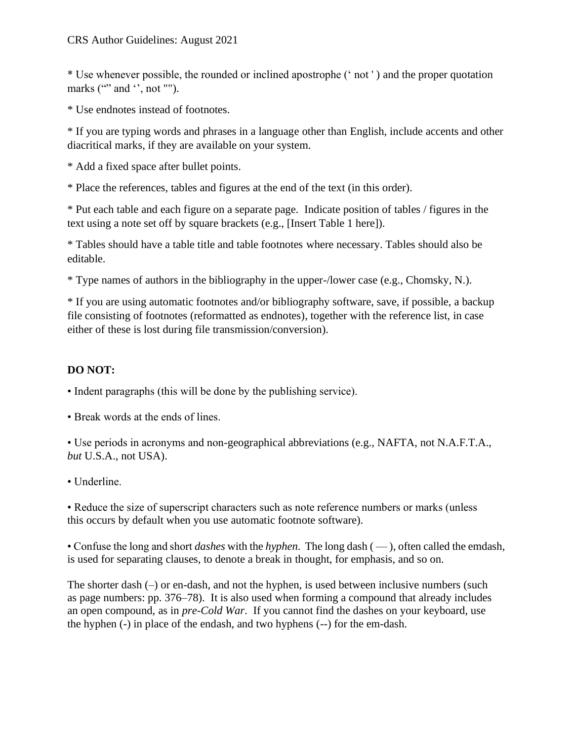\* Use whenever possible, the rounded or inclined apostrophe (' not ' ) and the proper quotation marks ( $\cdot\cdot\cdot$  and  $\cdot\cdot$ , not "").

\* Use endnotes instead of footnotes.

\* If you are typing words and phrases in a language other than English, include accents and other diacritical marks, if they are available on your system.

\* Add a fixed space after bullet points.

\* Place the references, tables and figures at the end of the text (in this order).

\* Put each table and each figure on a separate page. Indicate position of tables / figures in the text using a note set off by square brackets (e.g., [Insert Table 1 here]).

\* Tables should have a table title and table footnotes where necessary. Tables should also be editable.

\* Type names of authors in the bibliography in the upper-/lower case (e.g., Chomsky, N.).

\* If you are using automatic footnotes and/or bibliography software, save, if possible, a backup file consisting of footnotes (reformatted as endnotes), together with the reference list, in case either of these is lost during file transmission/conversion).

### **DO NOT:**

• Indent paragraphs (this will be done by the publishing service).

• Break words at the ends of lines.

• Use periods in acronyms and non-geographical abbreviations (e.g., NAFTA, not N.A.F.T.A., *but* U.S.A., not USA).

• Underline.

• Reduce the size of superscript characters such as note reference numbers or marks (unless this occurs by default when you use automatic footnote software).

• Confuse the long and short *dashes* with the *hyphen*. The long dash ( — ), often called the emdash, is used for separating clauses, to denote a break in thought, for emphasis, and so on.

The shorter dash  $(-)$  or en-dash, and not the hyphen, is used between inclusive numbers (such as page numbers: pp. 376–78). It is also used when forming a compound that already includes an open compound, as in *pre-Cold War*. If you cannot find the dashes on your keyboard, use the hyphen (-) in place of the endash, and two hyphens (--) for the em-dash.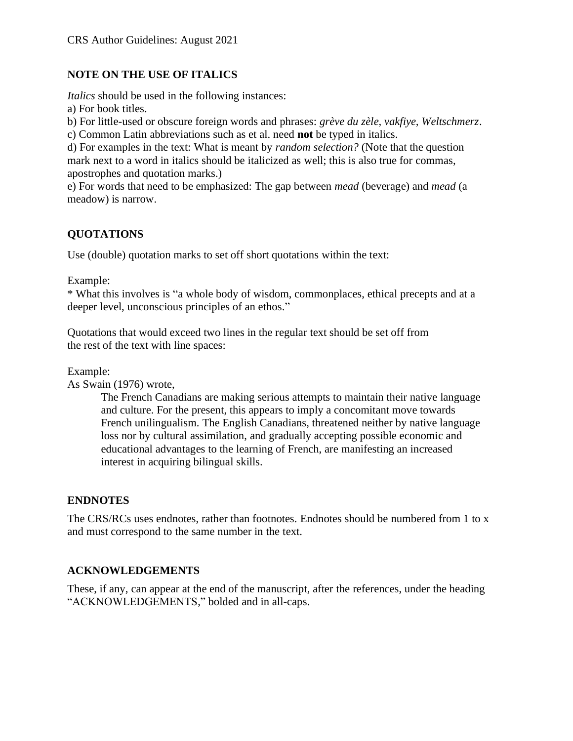#### **NOTE ON THE USE OF ITALICS**

*Italics* should be used in the following instances:

a) For book titles.

b) For little-used or obscure foreign words and phrases: *grève du zèle, vakfiye, Weltschmerz*.

c) Common Latin abbreviations such as et al. need **not** be typed in italics.

d) For examples in the text: What is meant by *random selection?* (Note that the question mark next to a word in italics should be italicized as well; this is also true for commas, apostrophes and quotation marks.)

e) For words that need to be emphasized: The gap between *mead* (beverage) and *mead* (a meadow) is narrow.

### **QUOTATIONS**

Use (double) quotation marks to set off short quotations within the text:

Example:

\* What this involves is "a whole body of wisdom, commonplaces, ethical precepts and at a deeper level, unconscious principles of an ethos."

Quotations that would exceed two lines in the regular text should be set off from the rest of the text with line spaces:

Example:

As Swain (1976) wrote,

The French Canadians are making serious attempts to maintain their native language and culture. For the present, this appears to imply a concomitant move towards French unilingualism. The English Canadians, threatened neither by native language loss nor by cultural assimilation, and gradually accepting possible economic and educational advantages to the learning of French, are manifesting an increased interest in acquiring bilingual skills.

#### **ENDNOTES**

The CRS/RCs uses endnotes, rather than footnotes. Endnotes should be numbered from 1 to x and must correspond to the same number in the text.

#### **ACKNOWLEDGEMENTS**

These, if any, can appear at the end of the manuscript, after the references, under the heading "ACKNOWLEDGEMENTS," bolded and in all-caps.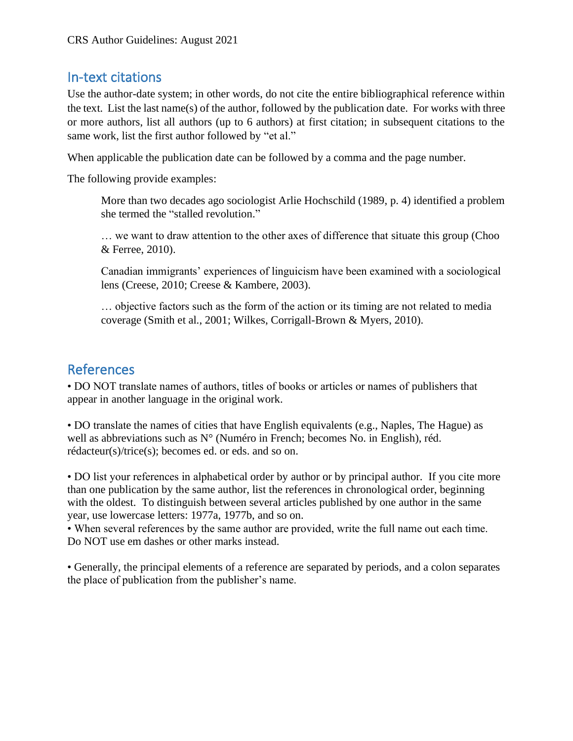## In-text citations

Use the author-date system; in other words, do not cite the entire bibliographical reference within the text. List the last name(s) of the author, followed by the publication date. For works with three or more authors, list all authors (up to 6 authors) at first citation; in subsequent citations to the same work, list the first author followed by "et al."

When applicable the publication date can be followed by a comma and the page number.

The following provide examples:

More than two decades ago sociologist Arlie Hochschild (1989, p. 4) identified a problem she termed the "stalled revolution."

… we want to draw attention to the other axes of difference that situate this group (Choo & Ferree, 2010).

Canadian immigrants' experiences of linguicism have been examined with a sociological lens (Creese, 2010; Creese & Kambere, 2003).

… objective factors such as the form of the action or its timing are not related to media coverage (Smith et al., 2001; Wilkes, Corrigall-Brown & Myers, 2010).

## References

• DO NOT translate names of authors, titles of books or articles or names of publishers that appear in another language in the original work.

• DO translate the names of cities that have English equivalents (e.g., Naples, The Hague) as well as abbreviations such as N° (Numéro in French; becomes No. in English), réd. rédacteur(s)/trice(s); becomes ed. or eds. and so on.

• DO list your references in alphabetical order by author or by principal author. If you cite more than one publication by the same author, list the references in chronological order, beginning with the oldest. To distinguish between several articles published by one author in the same year, use lowercase letters: 1977a, 1977b, and so on.

• When several references by the same author are provided, write the full name out each time. Do NOT use em dashes or other marks instead.

• Generally, the principal elements of a reference are separated by periods, and a colon separates the place of publication from the publisher's name.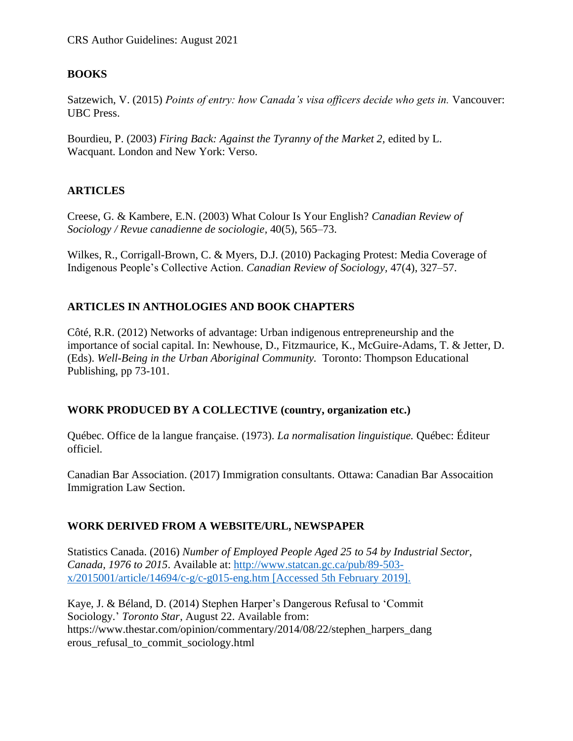#### **BOOKS**

Satzewich, V. (2015) *Points of entry: how Canada's visa officers decide who gets in.* Vancouver: UBC Press.

Bourdieu, P. (2003) *Firing Back: Against the Tyranny of the Market 2,* edited by L. Wacquant. London and New York: Verso.

#### **ARTICLES**

Creese, G. & Kambere, E.N. (2003) What Colour Is Your English? *Canadian Review of Sociology / Revue canadienne de sociologie,* 40(5), 565–73.

Wilkes, R., Corrigall-Brown, C. & Myers, D.J. (2010) Packaging Protest: Media Coverage of Indigenous People's Collective Action. *Canadian Review of Sociology,* 47(4), 327–57.

#### **ARTICLES IN ANTHOLOGIES AND BOOK CHAPTERS**

Côté, R.R. (2012) Networks of advantage: Urban indigenous entrepreneurship and the importance of social capital. In: Newhouse, D., Fitzmaurice, K., McGuire-Adams, T. & Jetter, D. (Eds). *Well-Being in the Urban Aboriginal Community.* Toronto: Thompson Educational Publishing, pp 73-101.

#### **WORK PRODUCED BY A COLLECTIVE (country, organization etc.)**

Québec. Office de la langue française. (1973). *La normalisation linguistique.* Québec: Éditeur officiel.

Canadian Bar Association. (2017) Immigration consultants. Ottawa: Canadian Bar Assocaition Immigration Law Section.

#### **WORK DERIVED FROM A WEBSITE/URL, NEWSPAPER**

Statistics Canada. (2016) *Number of Employed People Aged 25 to 54 by Industrial Sector, Canada, 1976 to 2015*. Available at: http://www.statcan.gc.ca/pub/89-503 x/2015001/article/14694/c-g/c-g015-eng.htm [Accessed 5th February 2019].

Kaye, J. & Béland, D. (2014) Stephen Harper's Dangerous Refusal to 'Commit Sociology*.*' *Toronto Star*, August 22. Available from: https://www.thestar.com/opinion/commentary/2014/08/22/stephen\_harpers\_dang erous\_refusal\_to\_commit\_sociology.html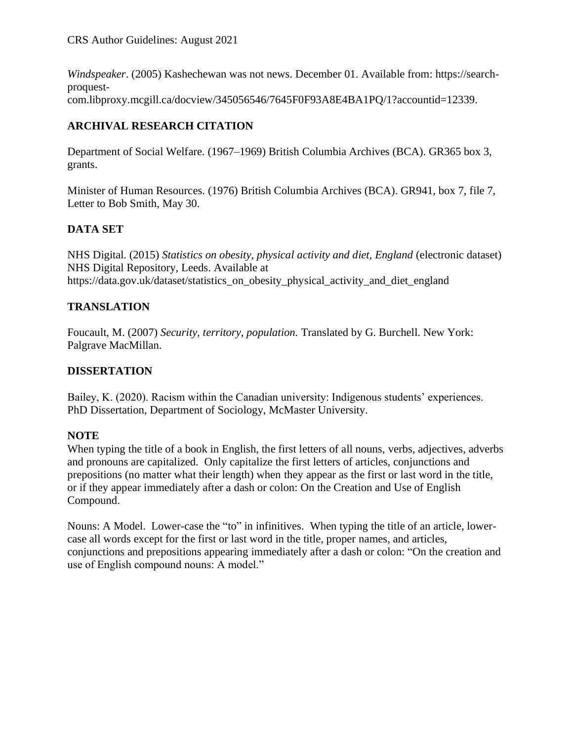*Windspeaker*. (2005) Kashechewan was not news. December 01. Available from: https://searchproquestcom.libproxy.mcgill.ca/docview/345056546/7645F0F93A8E4BA1PQ/1?accountid=12339.

### **ARCHIVAL RESEARCH CITATION**

Department of Social Welfare. (1967–1969) British Columbia Archives (BCA). GR365 box 3, grants.

Minister of Human Resources. (1976) British Columbia Archives (BCA). GR941, box 7, file 7, Letter to Bob Smith, May 30.

### **DATA SET**

NHS Digital. (2015) *Statistics on obesity, physical activity and diet, England* (electronic dataset) NHS Digital Repository, Leeds. Available at https://data.gov.uk/dataset/statistics\_on\_obesity\_physical\_activity\_and\_diet\_england

#### **TRANSLATION**

Foucault, M. (2007) *Security, territory, population.* Translated by G. Burchell. New York: Palgrave MacMillan.

#### **DISSERTATION**

Bailey, K. (2020). Racism within the Canadian university: Indigenous students' experiences. PhD Dissertation, Department of Sociology, McMaster University.

#### **NOTE**

When typing the title of a book in English, the first letters of all nouns, verbs, adjectives, adverbs and pronouns are capitalized. Only capitalize the first letters of articles, conjunctions and prepositions (no matter what their length) when they appear as the first or last word in the title, or if they appear immediately after a dash or colon: On the Creation and Use of English Compound.

Nouns: A Model. Lower-case the "to" in infinitives. When typing the title of an article, lowercase all words except for the first or last word in the title, proper names, and articles, conjunctions and prepositions appearing immediately after a dash or colon: "On the creation and use of English compound nouns: A model."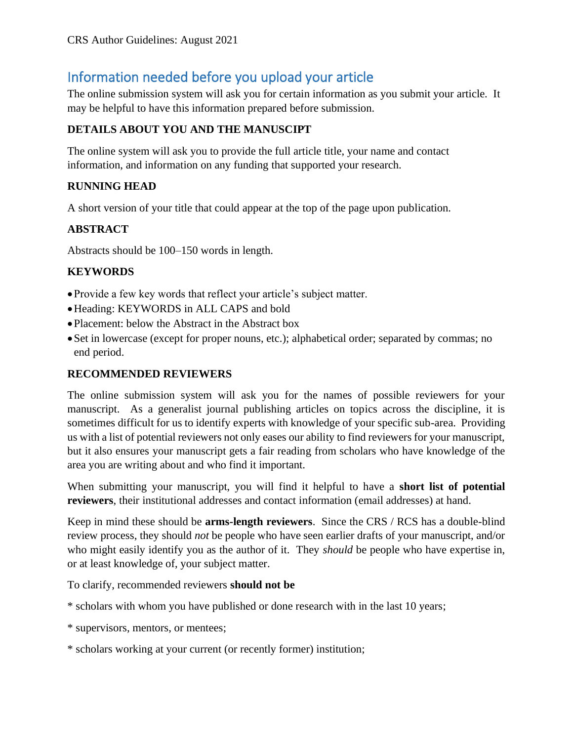## Information needed before you upload your article

The online submission system will ask you for certain information as you submit your article. It may be helpful to have this information prepared before submission.

#### **DETAILS ABOUT YOU AND THE MANUSCIPT**

The online system will ask you to provide the full article title, your name and contact information, and information on any funding that supported your research.

#### **RUNNING HEAD**

A short version of your title that could appear at the top of the page upon publication.

#### **ABSTRACT**

Abstracts should be 100–150 words in length.

#### **KEYWORDS**

- •Provide a few key words that reflect your article's subject matter.
- •Heading: KEYWORDS in ALL CAPS and bold
- Placement: below the Abstract in the Abstract box
- •Set in lowercase (except for proper nouns, etc.); alphabetical order; separated by commas; no end period.

#### **RECOMMENDED REVIEWERS**

The online submission system will ask you for the names of possible reviewers for your manuscript. As a generalist journal publishing articles on topics across the discipline, it is sometimes difficult for us to identify experts with knowledge of your specific sub-area. Providing us with a list of potential reviewers not only eases our ability to find reviewers for your manuscript, but it also ensures your manuscript gets a fair reading from scholars who have knowledge of the area you are writing about and who find it important.

When submitting your manuscript, you will find it helpful to have a **short list of potential reviewers**, their institutional addresses and contact information (email addresses) at hand.

Keep in mind these should be **arms-length reviewers**. Since the CRS / RCS has a double-blind review process, they should *not* be people who have seen earlier drafts of your manuscript, and/or who might easily identify you as the author of it. They *should* be people who have expertise in, or at least knowledge of, your subject matter.

To clarify, recommended reviewers **should not be**

\* scholars with whom you have published or done research with in the last 10 years;

- \* supervisors, mentors, or mentees;
- \* scholars working at your current (or recently former) institution;